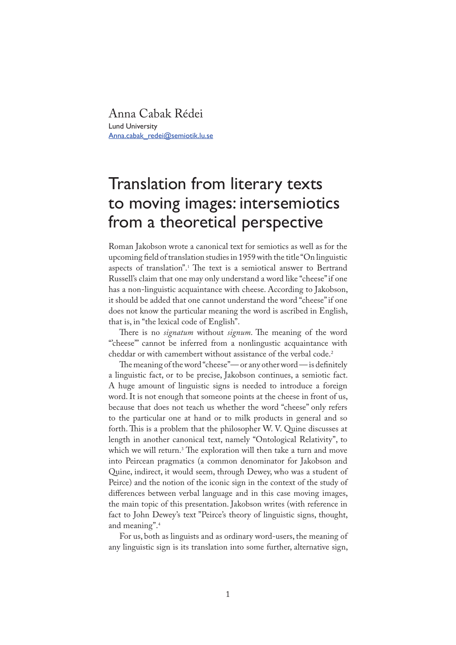Anna Cabak Rédei Lund University Anna.cabak\_redei@semiotik.lu.se

# Translation from literary texts to moving images: intersemiotics from a theoretical perspective

Roman Jakobson wrote a canonical text for semiotics as well as for the upcoming �eld of translation studies in 1959 with the title "On linguistic aspects of translation".<sup>1</sup> The text is a semiotical answer to Bertrand Russell's claim that one may only understand a word like "cheese" if one has a non-linguistic acquaintance with cheese. According to Jakobson, it should be added that one cannot understand the word "cheese" if one does not know the particular meaning the word is ascribed in English, that is, in "the lexical code of English".

There is no *signatum* without *signum*. The meaning of the word "'cheese'" cannot be inferred from a nonlingustic acquaintance with cheddar or with camembert without assistance of the verbal code.<sup>2</sup>

The meaning of the word "cheese"— or any other word — is definitely a linguistic fact, or to be precise, Jakobson continues, a semiotic fact. A huge amount of linguistic signs is needed to introduce a foreign word. It is not enough that someone points at the cheese in front of us, because that does not teach us whether the word "cheese" only refers to the particular one at hand or to milk products in general and so forth. This is a problem that the philosopher W. V. Quine discusses at length in another canonical text, namely "Ontological Relativity", to which we will return.<sup>3</sup> The exploration will then take a turn and move into Peircean pragmatics (a common denominator for Jakobson and Quine, indirect, it would seem, through Dewey, who was a student of Peirce) and the notion of the iconic sign in the context of the study of differences between verbal language and in this case moving images, the main topic of this presentation. Jakobson writes (with reference in fact to John Dewey's text "Peirce's theory of linguistic signs, thought, and meaning".4

For us, both as linguists and as ordinary word-users, the meaning of any linguistic sign is its translation into some further, alternative sign,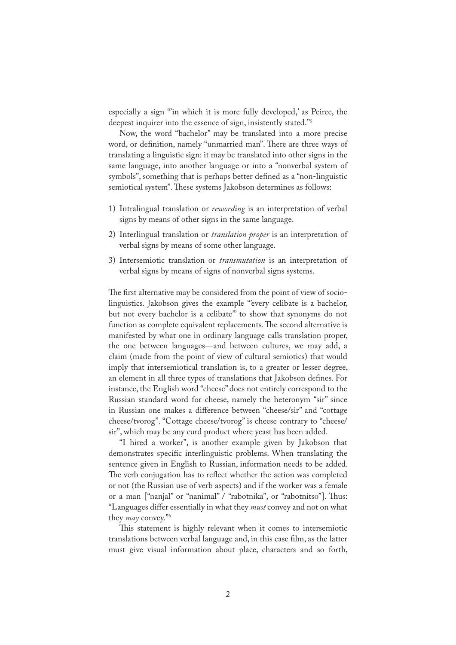especially a sign "'in which it is more fully developed,' as Peirce, the deepest inquirer into the essence of sign, insistently stated."5

Now, the word "bachelor" may be translated into a more precise word, or definition, namely "unmarried man". There are three ways of translating a linguistic sign: it may be translated into other signs in the same language, into another language or into a "nonverbal system of symbols", something that is perhaps better de�ned as a "non-linguistic semiotical system". These systems Jakobson determines as follows:

- 1) Intralingual translation or *rewording* is an interpretation of verbal signs by means of other signs in the same language.
- 2) Interlingual translation or *translation proper* is an interpretation of verbal signs by means of some other language.
- 3) Intersemiotic translation or *transmutation* is an interpretation of verbal signs by means of signs of nonverbal signs systems.

The first alternative may be considered from the point of view of sociolinguistics. Jakobson gives the example "every celibate is a bachelor, but not every bachelor is a celibate'" to show that synonyms do not function as complete equivalent replacements. The second alternative is manifested by what one in ordinary language calls translation proper, the one between languages—and between cultures, we may add, a claim (made from the point of view of cultural semiotics) that would imply that intersemiotical translation is, to a greater or lesser degree, an element in all three types of translations that Jakobson defines. For instance, the English word "cheese" does not entirely correspond to the Russian standard word for cheese, namely the heteronym "sir" since in Russian one makes a difference between "cheese/sir" and "cottage cheese/tvorog". "Cottage cheese/tvorog" is cheese contrary to "cheese/ sir", which may be any curd product where yeast has been added.

"I hired a worker", is another example given by Jakobson that demonstrates specific interlinguistic problems. When translating the sentence given in English to Russian, information needs to be added. The verb conjugation has to reflect whether the action was completed or not (the Russian use of verb aspects) and if the worker was a female or a man ["nanjal" or "nanimal" / "rabotnika", or "rabotnitso"]. Thus: "Languages differ essentially in what they *must* convey and not on what they *may* convey."6

This statement is highly relevant when it comes to intersemiotic translations between verbal language and, in this case film, as the latter must give visual information about place, characters and so forth,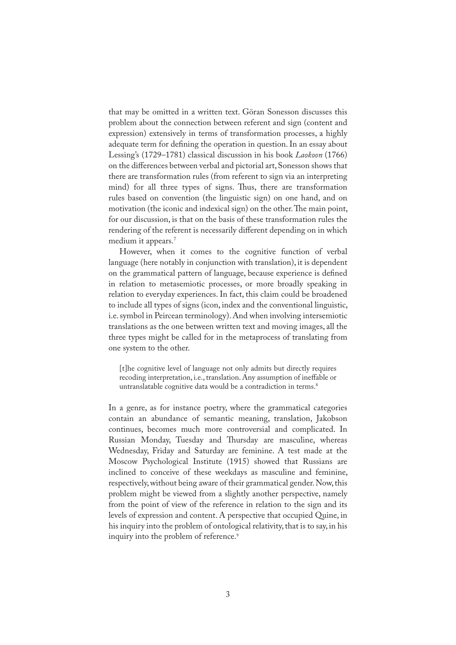that may be omitted in a written text. Göran Sonesson discusses this problem about the connection between referent and sign (content and expression) extensively in terms of transformation processes, a highly adequate term for defining the operation in question. In an essay about Lessing's (1729–1781) classical discussion in his book *Laokoon* (1766) on the differences between verbal and pictorial art, Sonesson shows that there are transformation rules (from referent to sign via an interpreting mind) for all three types of signs. Thus, there are transformation rules based on convention (the linguistic sign) on one hand, and on motivation (the iconic and indexical sign) on the other. The main point, for our discussion, is that on the basis of these transformation rules the rendering of the referent is necessarily different depending on in which medium it appears.<sup>7</sup>

However, when it comes to the cognitive function of verbal language (here notably in conjunction with translation), it is dependent on the grammatical pattern of language, because experience is defined in relation to metasemiotic processes, or more broadly speaking in relation to everyday experiences. In fact, this claim could be broadened to include all types of signs (icon, index and the conventional linguistic, i.e. symbol in Peircean terminology). And when involving intersemiotic translations as the one between written text and moving images, all the three types might be called for in the metaprocess of translating from one system to the other.

[t]he cognitive level of language not only admits but directly requires recoding interpretation, i.e., translation. Any assumption of ineffable or untranslatable cognitive data would be a contradiction in terms.<sup>8</sup>

In a genre, as for instance poetry, where the grammatical categories contain an abundance of semantic meaning, translation, Jakobson continues, becomes much more controversial and complicated. In Russian Monday, Tuesday and Thursday are masculine, whereas Wednesday, Friday and Saturday are feminine. A test made at the Moscow Psychological Institute (1915) showed that Russians are inclined to conceive of these weekdays as masculine and feminine, respectively, without being aware of their grammatical gender. Now, this problem might be viewed from a slightly another perspective, namely from the point of view of the reference in relation to the sign and its levels of expression and content. A perspective that occupied Quine, in his inquiry into the problem of ontological relativity, that is to say, in his inquiry into the problem of reference.<sup>9</sup>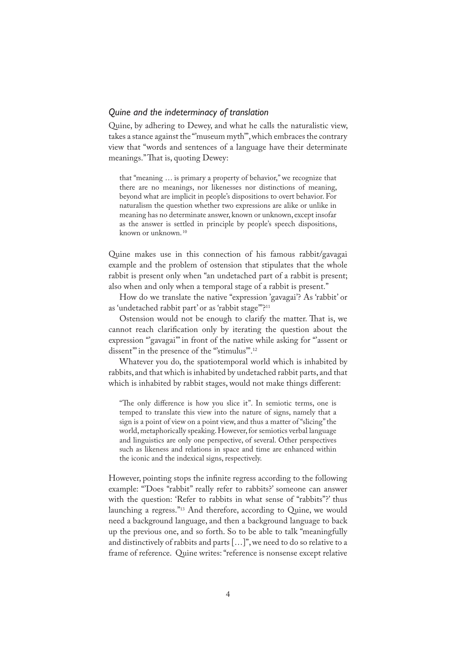### *Quine and the indeterminacy of translation*

Quine, by adhering to Dewey, and what he calls the naturalistic view, takes a stance against the "'museum myth'", which embraces the contrary view that "words and sentences of a language have their determinate meanings." That is, quoting Dewey:

that "meaning … is primary a property of behavior," we recognize that there are no meanings, nor likenesses nor distinctions of meaning, beyond what are implicit in people's dispositions to overt behavior. For naturalism the question whether two expressions are alike or unlike in meaning has no determinate answer, known or unknown, except insofar as the answer is settled in principle by people's speech dispositions, known or unknown. <sup>10</sup>

Quine makes use in this connection of his famous rabbit/gavagai example and the problem of ostension that stipulates that the whole rabbit is present only when "an undetached part of a rabbit is present; also when and only when a temporal stage of a rabbit is present."

How do we translate the native "expression 'gavagai'? As 'rabbit' or as 'undetached rabbit part' or as 'rabbit stage'"?11

Ostension would not be enough to clarify the matter. That is, we cannot reach clarification only by iterating the question about the expression "'gavagai" in front of the native while asking for "'assent or dissent" in the presence of the "stimulus".<sup>12</sup>

Whatever you do, the spatiotemporal world which is inhabited by rabbits, and that which is inhabited by undetached rabbit parts, and that which is inhabited by rabbit stages, would not make things different:

"The only difference is how you slice it". In semiotic terms, one is temped to translate this view into the nature of signs, namely that a sign is a point of view on a point view, and thus a matter of "slicing" the world, metaphorically speaking. However, for semiotics verbal language and linguistics are only one perspective, of several. Other perspectives such as likeness and relations in space and time are enhanced within the iconic and the indexical signs, respectively.

However, pointing stops the infinite regress according to the following example: "Does "rabbit" really refer to rabbits?' someone can answer with the question: 'Refer to rabbits in what sense of "rabbits"?' thus launching a regress."13 And therefore, according to Quine, we would need a background language, and then a background language to back up the previous one, and so forth. So to be able to talk "meaningfully and distinctively of rabbits and parts […]", we need to do so relative to a frame of reference. Quine writes: "reference is nonsense except relative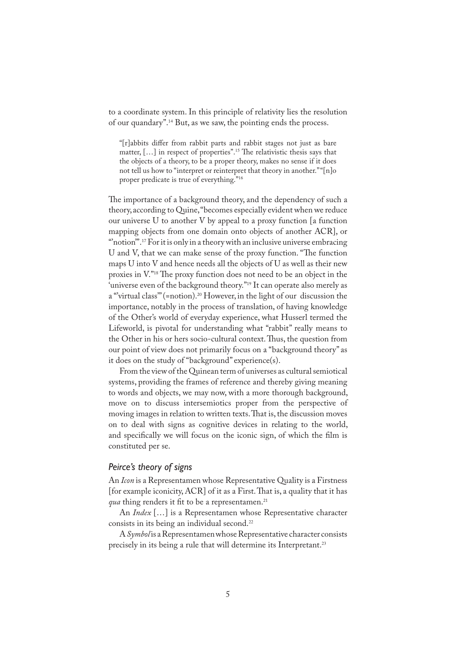to a coordinate system. In this principle of relativity lies the resolution of our quandary".14 But, as we saw, the pointing ends the process.

"[r]abbits differ from rabbit parts and rabbit stages not just as bare matter,  $[\dots]$  in respect of properties".<sup>15</sup> The relativistic thesis says that the objects of a theory, to be a proper theory, makes no sense if it does not tell us how to "interpret or reinterpret that theory in another." "[n]o proper predicate is true of everything."<sup>16</sup>

The importance of a background theory, and the dependency of such a theory, according to Quine, "becomes especially evident when we reduce our universe U to another V by appeal to a proxy function [a function mapping objects from one domain onto objects of another ACR], or "notion".<sup>17</sup> For it is only in a theory with an inclusive universe embracing U and V, that we can make sense of the proxy function. "The function maps U into V and hence needs all the objects of U as well as their new proxies in V."<sup>18</sup> The proxy function does not need to be an object in the 'universe even of the background theory."<sup>19</sup> It can operate also merely as a "virtual class" (=notion).<sup>20</sup> However, in the light of our discussion the importance, notably in the process of translation, of having knowledge of the Other's world of everyday experience, what Husserl termed the Lifeworld, is pivotal for understanding what "rabbit" really means to the Other in his or hers socio-cultural context. Thus, the question from our point of view does not primarily focus on a "background theory" as it does on the study of "background" experience(s).

From the view of the Quinean term of universes as cultural semiotical systems, providing the frames of reference and thereby giving meaning to words and objects, we may now, with a more thorough background, move on to discuss intersemiotics proper from the perspective of moving images in relation to written texts. That is, the discussion moves on to deal with signs as cognitive devices in relating to the world, and specifically we will focus on the iconic sign, of which the film is constituted per se.

#### *Peirce's theory of signs*

An *Icon* is a Representamen whose Representative Quality is a Firstness [for example iconicity,  $ACR$ ] of it as a First. That is, a quality that it has *qua* thing renders it fit to be a representamen.<sup>21</sup>

An *Index* […] is a Representamen whose Representative character consists in its being an individual second.<sup>22</sup>

A *Symbol* is a Representamen whose Representative character consists precisely in its being a rule that will determine its Interpretant.<sup>23</sup>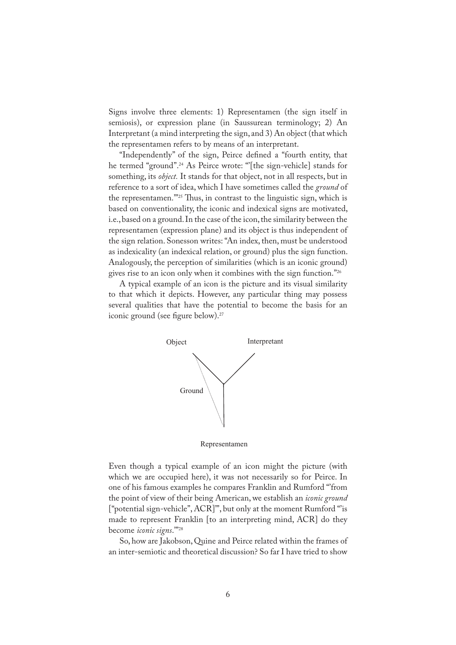Signs involve three elements: 1) Representamen (the sign itself in semiosis), or expression plane (in Saussurean terminology; 2) An Interpretant (a mind interpreting the sign, and 3) An object (that which the representamen refers to by means of an interpretant.

"Independently" of the sign, Peirce de�ned a "fourth entity, that he termed "ground".<sup>24</sup> As Peirce wrote: "[the sign-vehicle] stands for something, its *object.* It stands for that object, not in all respects, but in reference to a sort of idea, which I have sometimes called the *ground* of the representamen."<sup>25</sup> Thus, in contrast to the linguistic sign, which is based on conventionality, the iconic and indexical signs are motivated, i.e., based on a ground. In the case of the icon, the similarity between the representamen (expression plane) and its object is thus independent of the sign relation. Sonesson writes: "An index, then, must be understood as indexicality (an indexical relation, or ground) plus the sign function. Analogously, the perception of similarities (which is an iconic ground) gives rise to an icon only when it combines with the sign function." $^{226}$ 

A typical example of an icon is the picture and its visual similarity to that which it depicts. However, any particular thing may possess several qualities that have the potential to become the basis for an iconic ground (see figure below).<sup>27</sup>



Representamen

Even though a typical example of an icon might the picture (with which we are occupied here), it was not necessarily so for Peirce. In one of his famous examples he compares Franklin and Rumford "'from the point of view of their being American, we establish an *iconic ground*  ["potential sign-vehicle", ACR]'", but only at the moment Rumford "'is made to represent Franklin [to an interpreting mind, ACR] do they become *iconic signs*.'"<sup>28</sup>

So, how are Jakobson, Quine and Peirce related within the frames of an inter-semiotic and theoretical discussion? So far I have tried to show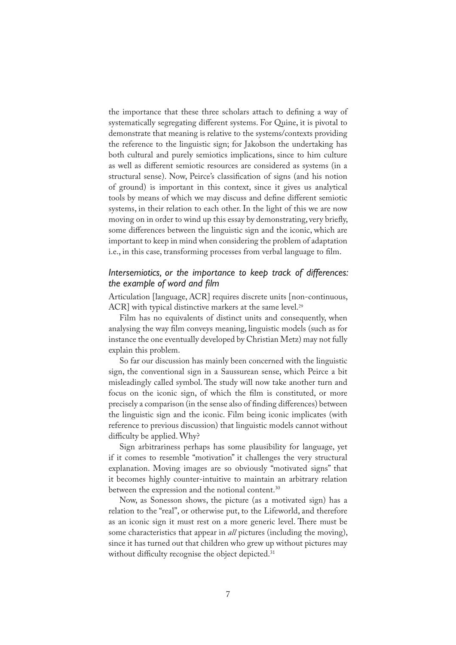the importance that these three scholars attach to defining a way of systematically segregating different systems. For Quine, it is pivotal to demonstrate that meaning is relative to the systems/contexts providing the reference to the linguistic sign; for Jakobson the undertaking has both cultural and purely semiotics implications, since to him culture as well as different semiotic resources are considered as systems (in a structural sense). Now, Peirce's classification of signs (and his notion of ground) is important in this context, since it gives us analytical tools by means of which we may discuss and de�ne different semiotic systems, in their relation to each other. In the light of this we are now moving on in order to wind up this essay by demonstrating, very briefly, some differences between the linguistic sign and the iconic, which are important to keep in mind when considering the problem of adaptation i.e., in this case, transforming processes from verbal language to film.

## *Intersemiotics, or the importance to keep track of differences: the example of word and film*

Articulation [language, ACR] requires discrete units [non-continuous, ACR] with typical distinctive markers at the same level.<sup>29</sup>

Film has no equivalents of distinct units and consequently, when analysing the way film conveys meaning, linguistic models (such as for instance the one eventually developed by Christian Metz) may not fully explain this problem.

So far our discussion has mainly been concerned with the linguistic sign, the conventional sign in a Saussurean sense, which Peirce a bit misleadingly called symbol. The study will now take another turn and focus on the iconic sign, of which the film is constituted, or more precisely a comparison (in the sense also of �nding differences) between the linguistic sign and the iconic. Film being iconic implicates (with reference to previous discussion) that linguistic models cannot without difficulty be applied. Why?

Sign arbitrariness perhaps has some plausibility for language, yet if it comes to resemble "motivation" it challenges the very structural explanation. Moving images are so obviously "motivated signs" that it becomes highly counter-intuitive to maintain an arbitrary relation between the expression and the notional content.<sup>30</sup>

Now, as Sonesson shows, the picture (as a motivated sign) has a relation to the "real", or otherwise put, to the Lifeworld, and therefore as an iconic sign it must rest on a more generic level. There must be some characteristics that appear in *all* pictures (including the moving), since it has turned out that children who grew up without pictures may without difficulty recognise the object depicted.<sup>31</sup>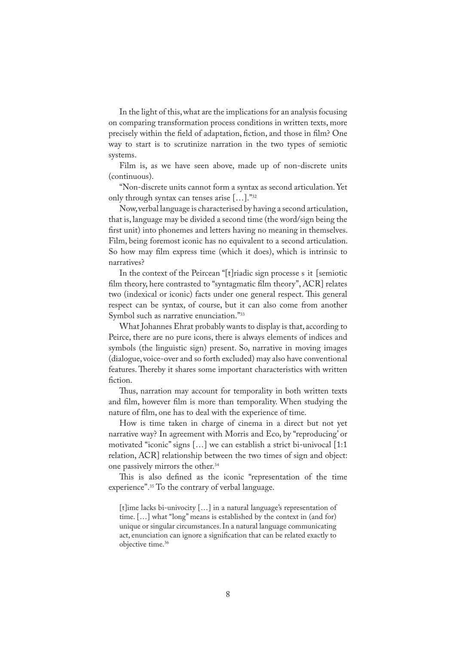In the light of this, what are the implications for an analysis focusing on comparing transformation process conditions in written texts, more precisely within the field of adaptation, fiction, and those in film? One way to start is to scrutinize narration in the two types of semiotic systems.

Film is, as we have seen above, made up of non-discrete units (continuous).

"Non-discrete units cannot form a syntax as second articulation. Yet only through syntax can tenses arise […]."32

Now, verbal language is characterised by having a second articulation, that is, language may be divided a second time (the word/sign being the first unit) into phonemes and letters having no meaning in themselves. Film, being foremost iconic has no equivalent to a second articulation. So how may film express time (which it does), which is intrinsic to narratives?

In the context of the Peircean "[t]riadic sign processe s it [semiotic film theory, here contrasted to "syntagmatic film theory", ACR] relates two (indexical or iconic) facts under one general respect. This general respect can be syntax, of course, but it can also come from another Symbol such as narrative enunciation."<sup>33</sup>

What Johannes Ehrat probably wants to display is that, according to Peirce, there are no pure icons, there is always elements of indices and symbols (the linguistic sign) present. So, narrative in moving images (dialogue, voice-over and so forth excluded) may also have conventional features. Thereby it shares some important characteristics with written fiction.

Thus, narration may account for temporality in both written texts and film, however film is more than temporality. When studying the nature of film, one has to deal with the experience of time.

How is time taken in charge of cinema in a direct but not yet narrative way? In agreement with Morris and Eco, by "reproducing' or motivated "iconic" signs […] we can establish a strict bi-univocal [1:1 relation, ACR] relationship between the two times of sign and object: one passively mirrors the other.34

This is also defined as the iconic "representation of the time experience".35 To the contrary of verbal language.

[t]ime lacks bi-univocity […] in a natural language's representation of time. […] what "long" means is established by the context in (and for) unique or singular circumstances. In a natural language communicating act, enunciation can ignore a signification that can be related exactly to objective time.<sup>36</sup>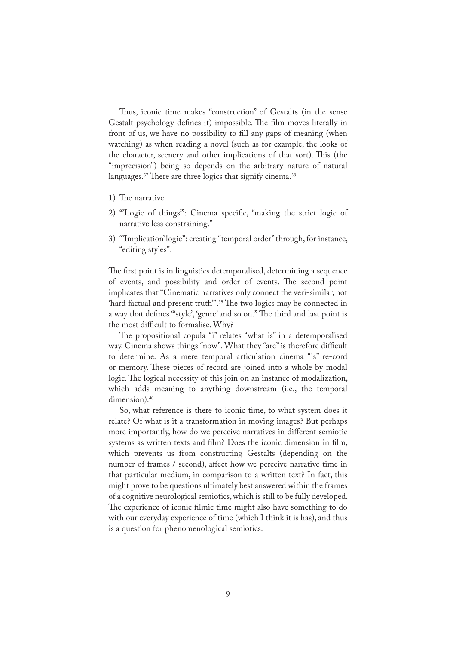Thus, iconic time makes "construction" of Gestalts (in the sense Gestalt psychology defines it) impossible. The film moves literally in front of us, we have no possibility to fill any gaps of meaning (when watching) as when reading a novel (such as for example, the looks of the character, scenery and other implications of that sort). This (the "imprecision") being so depends on the arbitrary nature of natural languages.<sup>37</sup> There are three logics that signify cinema.<sup>38</sup>

- 1) The narrative
- 2) "Logic of things": Cinema specific, "making the strict logic of narrative less constraining."
- 3) "'Implication' logic": creating "temporal order" through, for instance, "editing styles".

The first point is in linguistics detemporalised, determining a sequence of events, and possibility and order of events. The second point implicates that "Cinematic narratives only connect the veri-similar, not 'hard factual and present truth".<sup>39</sup> The two logics may be connected in a way that defines "style', 'genre' and so on." The third and last point is the most difficult to formalise. Why?

The propositional copula "i" relates "what is" in a detemporalised way. Cinema shows things "now". What they "are" is therefore difficult to determine. As a mere temporal articulation cinema "is" re-cord or memory. These pieces of record are joined into a whole by modal logic. The logical necessity of this join on an instance of modalization, which adds meaning to anything downstream (i.e., the temporal dimension).<sup>40</sup>

So, what reference is there to iconic time, to what system does it relate? Of what is it a transformation in moving images? But perhaps more importantly, how do we perceive narratives in different semiotic systems as written texts and film? Does the iconic dimension in film, which prevents us from constructing Gestalts (depending on the number of frames / second), affect how we perceive narrative time in that particular medium, in comparison to a written text? In fact, this might prove to be questions ultimately best answered within the frames of a cognitive neurological semiotics, which is still to be fully developed. The experience of iconic filmic time might also have something to do with our everyday experience of time (which I think it is has), and thus is a question for phenomenological semiotics.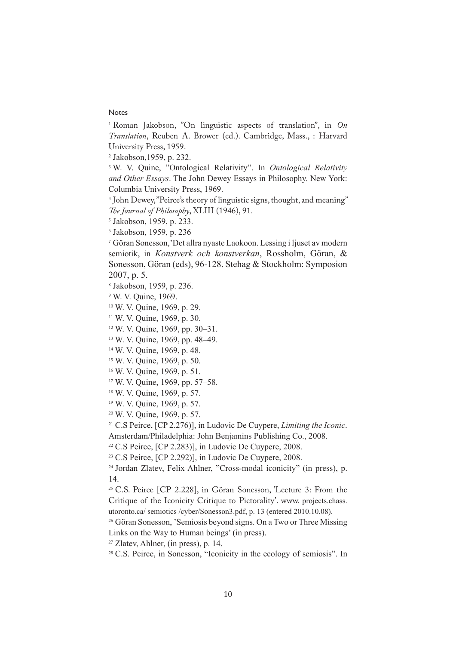## Notes

 Roman Jakobson, "On linguistic aspects of translation", in *On Translation*, Reuben A. Brower (ed.). Cambridge, Mass., : Harvard University Press, 1959.

Jakobson,1959, p. 232.

 W. V. Quine, "Ontological Relativity". In *Ontological Relativity and Other Essays*. The John Dewey Essays in Philosophy. New York: Columbia University Press, 1969.

 John Dewey, "Peirce's theory of linguistic signs, thought, and meaning" *�e Journal of Philosophy*, XLIII (1946), 91.

Jakobson, 1959, p. 233.

Jakobson, 1959, p. 236

 Göran Sonesson,'Det allra nyaste Laokoon. Lessing i ljuset av modern semiotik, in *Konstverk och konstverkan*, Rossholm, Göran, & Sonesson, Göran (eds), 96-128. Stehag & Stockholm: Symposion 2007, p. 5.

Jakobson, 1959, p. 236.

W. V. Quine, 1969.

W. V. Quine, 1969, p. 29.

W. V. Quine, 1969, p. 30.

W. V. Quine, 1969, pp. 30–31.

W. V. Quine, 1969, pp. 48–49.

W. V. Quine, 1969, p. 48.

W. V. Quine, 1969, p. 50.

W. V. Quine, 1969, p. 51.

W. V. Quine, 1969, pp. 57–58.

W. V. Quine, 1969, p. 57.

W. V. Quine, 1969, p. 57.

W. V. Quine, 1969, p. 57.

C.S Peirce, [CP 2.276)], in Ludovic De Cuypere, *Limiting the Iconic*.

Amsterdam/Philadelphia: John Benjamins Publishing Co., 2008.

C.S Peirce, [CP 2.283)], in Ludovic De Cuypere, 2008.

C.S Peirce, [CP 2.292)], in Ludovic De Cuypere, 2008.

 Jordan Zlatev, Felix Ahlner, "Cross-modal iconicity" (in press), p. 14.

 C.S. Peirce [CP 2.228], in Göran Sonesson, 'Lecture 3: From the Critique of the Iconicity Critique to Pictorality'. www. projects.chass. utoronto.ca/ semiotics /cyber/Sonesson3.pdf, p. 13 (entered 2010.10.08).

<sup>26</sup> Göran Sonesson, 'Semiosis beyond signs. On a Two or Three Missing Links on the Way to Human beings' (in press).

Zlatev, Ahlner, (in press), p. 14.

<sup>28</sup> C.S. Peirce, in Sonesson, "Iconicity in the ecology of semiosis". In